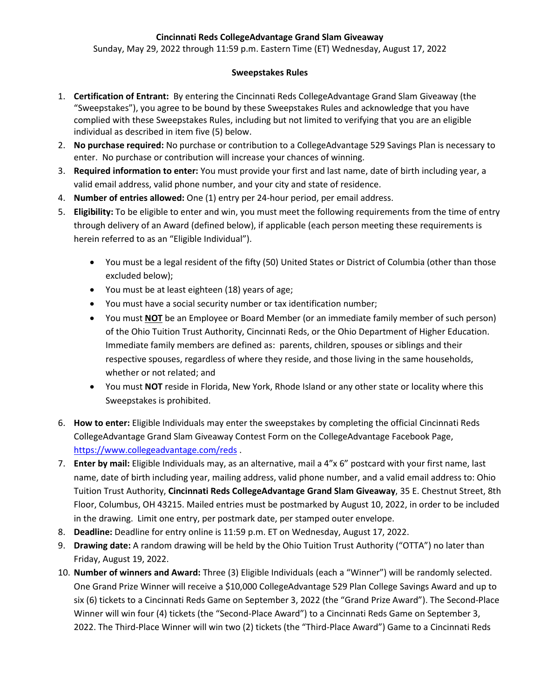## **Cincinnati Reds CollegeAdvantage Grand Slam Giveaway**

Sunday, May 29, 2022 through 11:59 p.m. Eastern Time (ET) Wednesday, August 17, 2022

## **Sweepstakes Rules**

- 1. **Certification of Entrant:** By entering the Cincinnati Reds CollegeAdvantage Grand Slam Giveaway (the "Sweepstakes"), you agree to be bound by these Sweepstakes Rules and acknowledge that you have complied with these Sweepstakes Rules, including but not limited to verifying that you are an eligible individual as described in item five (5) below.
- 2. **No purchase required:** No purchase or contribution to a CollegeAdvantage 529 Savings Plan is necessary to enter. No purchase or contribution will increase your chances of winning.
- 3. **Required information to enter:** You must provide your first and last name, date of birth including year, a valid email address, valid phone number, and your city and state of residence.
- 4. **Number of entries allowed:** One (1) entry per 24-hour period, per email address.
- 5. **Eligibility:** To be eligible to enter and win, you must meet the following requirements from the time of entry through delivery of an Award (defined below), if applicable (each person meeting these requirements is herein referred to as an "Eligible Individual").
	- You must be a legal resident of the fifty (50) United States or District of Columbia (other than those excluded below);
	- You must be at least eighteen (18) years of age;
	- You must have a social security number or tax identification number;
	- You must **NOT** be an Employee or Board Member (or an immediate family member of such person) of the Ohio Tuition Trust Authority, Cincinnati Reds, or the Ohio Department of Higher Education. Immediate family members are defined as: parents, children, spouses or siblings and their respective spouses, regardless of where they reside, and those living in the same households, whether or not related; and
	- You must **NOT** reside in Florida, New York, Rhode Island or any other state or locality where this Sweepstakes is prohibited.
- 6. **How to enter:** Eligible Individuals may enter the sweepstakes by completing the official Cincinnati Reds CollegeAdvantage Grand Slam Giveaway Contest Form on the CollegeAdvantage Facebook Page, <https://www.collegeadvantage.com/reds> .
- 7. **Enter by mail:** Eligible Individuals may, as an alternative, mail a 4"x 6" postcard with your first name, last name, date of birth including year, mailing address, valid phone number, and a valid email address to: Ohio Tuition Trust Authority, **Cincinnati Reds CollegeAdvantage Grand Slam Giveaway**, 35 E. Chestnut Street, 8th Floor, Columbus, OH 43215. Mailed entries must be postmarked by August 10, 2022, in order to be included in the drawing. Limit one entry, per postmark date, per stamped outer envelope.
- 8. **Deadline:** Deadline for entry online is 11:59 p.m. ET on Wednesday, August 17, 2022.
- 9. **Drawing date:** A random drawing will be held by the Ohio Tuition Trust Authority ("OTTA") no later than Friday, August 19, 2022.
- 10. **Number of winners and Award:** Three (3) Eligible Individuals (each a "Winner") will be randomly selected. One Grand Prize Winner will receive a \$10,000 CollegeAdvantage 529 Plan College Savings Award and up to six (6) tickets to a Cincinnati Reds Game on September 3, 2022 (the "Grand Prize Award"). The Second-Place Winner will win four (4) tickets (the "Second-Place Award") to a Cincinnati Reds Game on September 3, 2022. The Third-Place Winner will win two (2) tickets (the "Third-Place Award") Game to a Cincinnati Reds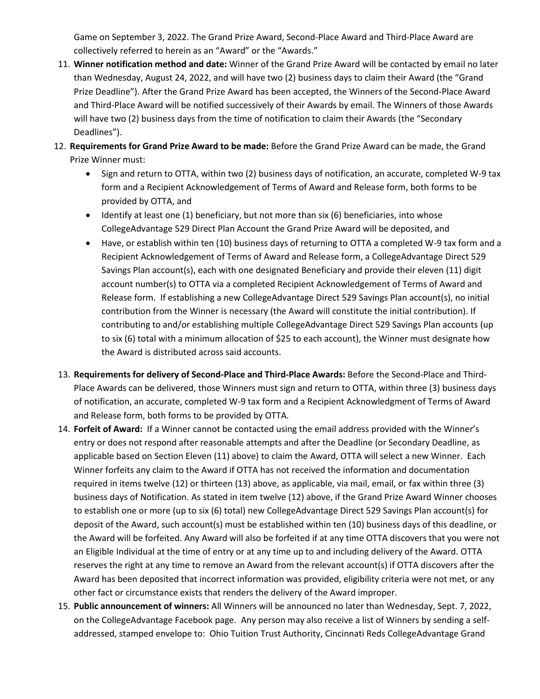Game on September 3, 2022. The Grand Prize Award, Second-Place Award and Third-Place Award are collectively referred to herein as an "Award" or the "Awards."

- 11. **Winner notification method and date:** Winner of the Grand Prize Award will be contacted by email no later than Wednesday, August 24, 2022, and will have two (2) business days to claim their Award (the "Grand Prize Deadline"). After the Grand Prize Award has been accepted, the Winners of the Second-Place Award and Third-Place Award will be notified successively of their Awards by email. The Winners of those Awards will have two (2) business days from the time of notification to claim their Awards (the "Secondary Deadlines").
- 12. **Requirements for Grand Prize Award to be made:** Before the Grand Prize Award can be made, the Grand Prize Winner must:
	- Sign and return to OTTA, within two (2) business days of notification, an accurate, completed W-9 tax form and a Recipient Acknowledgement of Terms of Award and Release form, both forms to be provided by OTTA, and
	- Identify at least one (1) beneficiary, but not more than six (6) beneficiaries, into whose CollegeAdvantage 529 Direct Plan Account the Grand Prize Award will be deposited, and
	- Have, or establish within ten (10) business days of returning to OTTA a completed W-9 tax form and a Recipient Acknowledgement of Terms of Award and Release form, a CollegeAdvantage Direct 529 Savings Plan account(s), each with one designated Beneficiary and provide their eleven (11) digit account number(s) to OTTA via a completed Recipient Acknowledgement of Terms of Award and Release form. If establishing a new CollegeAdvantage Direct 529 Savings Plan account(s), no initial contribution from the Winner is necessary (the Award will constitute the initial contribution). If contributing to and/or establishing multiple CollegeAdvantage Direct 529 Savings Plan accounts (up to six (6) total with a minimum allocation of \$25 to each account), the Winner must designate how the Award is distributed across said accounts.
- 13. **Requirements for delivery of Second-Place and Third-Place Awards:** Before the Second-Place and Third-Place Awards can be delivered, those Winners must sign and return to OTTA, within three (3) business days of notification, an accurate, completed W-9 tax form and a Recipient Acknowledgment of Terms of Award and Release form, both forms to be provided by OTTA.
- 14. **Forfeit of Award:** If a Winner cannot be contacted using the email address provided with the Winner's entry or does not respond after reasonable attempts and after the Deadline (or Secondary Deadline, as applicable based on Section Eleven (11) above) to claim the Award, OTTA will select a new Winner. Each Winner forfeits any claim to the Award if OTTA has not received the information and documentation required in items twelve (12) or thirteen (13) above, as applicable, via mail, email, or fax within three (3) business days of Notification. As stated in item twelve (12) above, if the Grand Prize Award Winner chooses to establish one or more (up to six (6) total) new CollegeAdvantage Direct 529 Savings Plan account(s) for deposit of the Award, such account(s) must be established within ten (10) business days of this deadline, or the Award will be forfeited. Any Award will also be forfeited if at any time OTTA discovers that you were not an Eligible Individual at the time of entry or at any time up to and including delivery of the Award. OTTA reserves the right at any time to remove an Award from the relevant account(s) if OTTA discovers after the Award has been deposited that incorrect information was provided, eligibility criteria were not met, or any other fact or circumstance exists that renders the delivery of the Award improper.
- 15. **Public announcement of winners:** All Winners will be announced no later than Wednesday, Sept. 7, 2022, on the CollegeAdvantage Facebook page. Any person may also receive a list of Winners by sending a selfaddressed, stamped envelope to: Ohio Tuition Trust Authority, Cincinnati Reds CollegeAdvantage Grand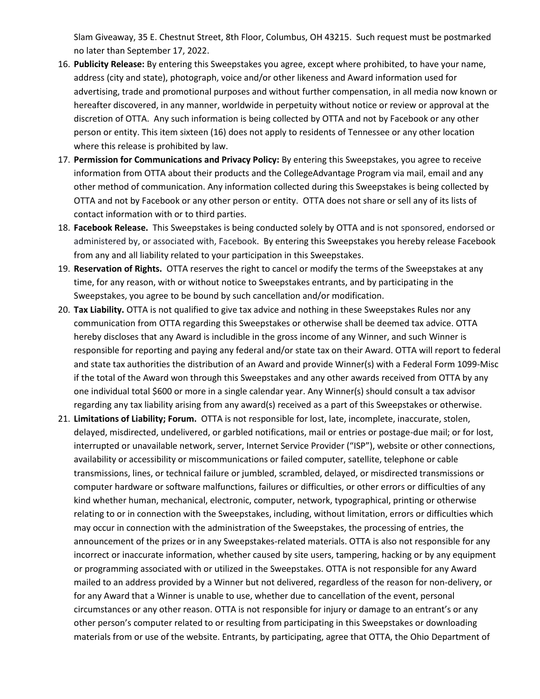Slam Giveaway, 35 E. Chestnut Street, 8th Floor, Columbus, OH 43215. Such request must be postmarked no later than September 17, 2022.

- 16. **Publicity Release:** By entering this Sweepstakes you agree, except where prohibited, to have your name, address (city and state), photograph, voice and/or other likeness and Award information used for advertising, trade and promotional purposes and without further compensation, in all media now known or hereafter discovered, in any manner, worldwide in perpetuity without notice or review or approval at the discretion of OTTA. Any such information is being collected by OTTA and not by Facebook or any other person or entity. This item sixteen (16) does not apply to residents of Tennessee or any other location where this release is prohibited by law.
- 17. **Permission for Communications and Privacy Policy:** By entering this Sweepstakes, you agree to receive information from OTTA about their products and the CollegeAdvantage Program via mail, email and any other method of communication. Any information collected during this Sweepstakes is being collected by OTTA and not by Facebook or any other person or entity. OTTA does not share or sell any of its lists of contact information with or to third parties.
- 18. **Facebook Release.** This Sweepstakes is being conducted solely by OTTA and is not sponsored, endorsed or administered by, or associated with, Facebook. By entering this Sweepstakes you hereby release Facebook from any and all liability related to your participation in this Sweepstakes.
- 19. **Reservation of Rights.** OTTA reserves the right to cancel or modify the terms of the Sweepstakes at any time, for any reason, with or without notice to Sweepstakes entrants, and by participating in the Sweepstakes, you agree to be bound by such cancellation and/or modification.
- 20. **Tax Liability.** OTTA is not qualified to give tax advice and nothing in these Sweepstakes Rules nor any communication from OTTA regarding this Sweepstakes or otherwise shall be deemed tax advice. OTTA hereby discloses that any Award is includible in the gross income of any Winner, and such Winner is responsible for reporting and paying any federal and/or state tax on their Award. OTTA will report to federal and state tax authorities the distribution of an Award and provide Winner(s) with a Federal Form 1099-Misc if the total of the Award won through this Sweepstakes and any other awards received from OTTA by any one individual total \$600 or more in a single calendar year. Any Winner(s) should consult a tax advisor regarding any tax liability arising from any award(s) received as a part of this Sweepstakes or otherwise.
- 21. **Limitations of Liability; Forum.** OTTA is not responsible for lost, late, incomplete, inaccurate, stolen, delayed, misdirected, undelivered, or garbled notifications, mail or entries or postage-due mail; or for lost, interrupted or unavailable network, server, Internet Service Provider ("ISP"), website or other connections, availability or accessibility or miscommunications or failed computer, satellite, telephone or cable transmissions, lines, or technical failure or jumbled, scrambled, delayed, or misdirected transmissions or computer hardware or software malfunctions, failures or difficulties, or other errors or difficulties of any kind whether human, mechanical, electronic, computer, network, typographical, printing or otherwise relating to or in connection with the Sweepstakes, including, without limitation, errors or difficulties which may occur in connection with the administration of the Sweepstakes, the processing of entries, the announcement of the prizes or in any Sweepstakes-related materials. OTTA is also not responsible for any incorrect or inaccurate information, whether caused by site users, tampering, hacking or by any equipment or programming associated with or utilized in the Sweepstakes. OTTA is not responsible for any Award mailed to an address provided by a Winner but not delivered, regardless of the reason for non-delivery, or for any Award that a Winner is unable to use, whether due to cancellation of the event, personal circumstances or any other reason. OTTA is not responsible for injury or damage to an entrant's or any other person's computer related to or resulting from participating in this Sweepstakes or downloading materials from or use of the website. Entrants, by participating, agree that OTTA, the Ohio Department of